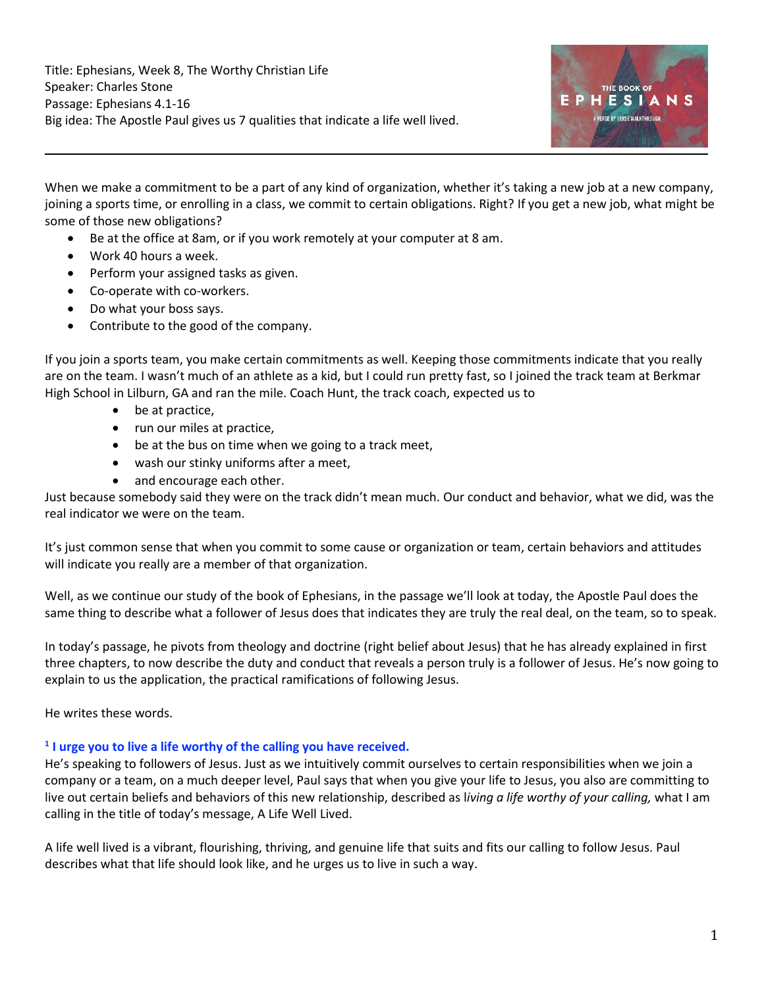

When we make a commitment to be a part of any kind of organization, whether it's taking a new job at a new company, joining a sports time, or enrolling in a class, we commit to certain obligations. Right? If you get a new job, what might be some of those new obligations?

- Be at the office at 8am, or if you work remotely at your computer at 8 am.
- Work 40 hours a week.
- Perform your assigned tasks as given.
- Co-operate with co-workers.
- Do what your boss says.
- Contribute to the good of the company.

If you join a sports team, you make certain commitments as well. Keeping those commitments indicate that you really are on the team. I wasn't much of an athlete as a kid, but I could run pretty fast, so I joined the track team at Berkmar High School in Lilburn, GA and ran the mile. Coach Hunt, the track coach, expected us to

- be at practice,
- run our miles at practice,
- be at the bus on time when we going to a track meet,
- wash our stinky uniforms after a meet,
- and encourage each other.

Just because somebody said they were on the track didn't mean much. Our conduct and behavior, what we did, was the real indicator we were on the team.

It's just common sense that when you commit to some cause or organization or team, certain behaviors and attitudes will indicate you really are a member of that organization.

Well, as we continue our study of the book of Ephesians, in the passage we'll look at today, the Apostle Paul does the same thing to describe what a follower of Jesus does that indicates they are truly the real deal, on the team, so to speak.

In today's passage, he pivots from theology and doctrine (right belief about Jesus) that he has already explained in first three chapters, to now describe the duty and conduct that reveals a person truly is a follower of Jesus. He's now going to explain to us the application, the practical ramifications of following Jesus.

He writes these words.

### **1 I urge you to live a life worthy of the calling you have received.**

He's speaking to followers of Jesus. Just as we intuitively commit ourselves to certain responsibilities when we join a company or a team, on a much deeper level, Paul says that when you give your life to Jesus, you also are committing to live out certain beliefs and behaviors of this new relationship, described as l*iving a life worthy of your calling,* what I am calling in the title of today's message, A Life Well Lived.

A life well lived is a vibrant, flourishing, thriving, and genuine life that suits and fits our calling to follow Jesus. Paul describes what that life should look like, and he urges us to live in such a way.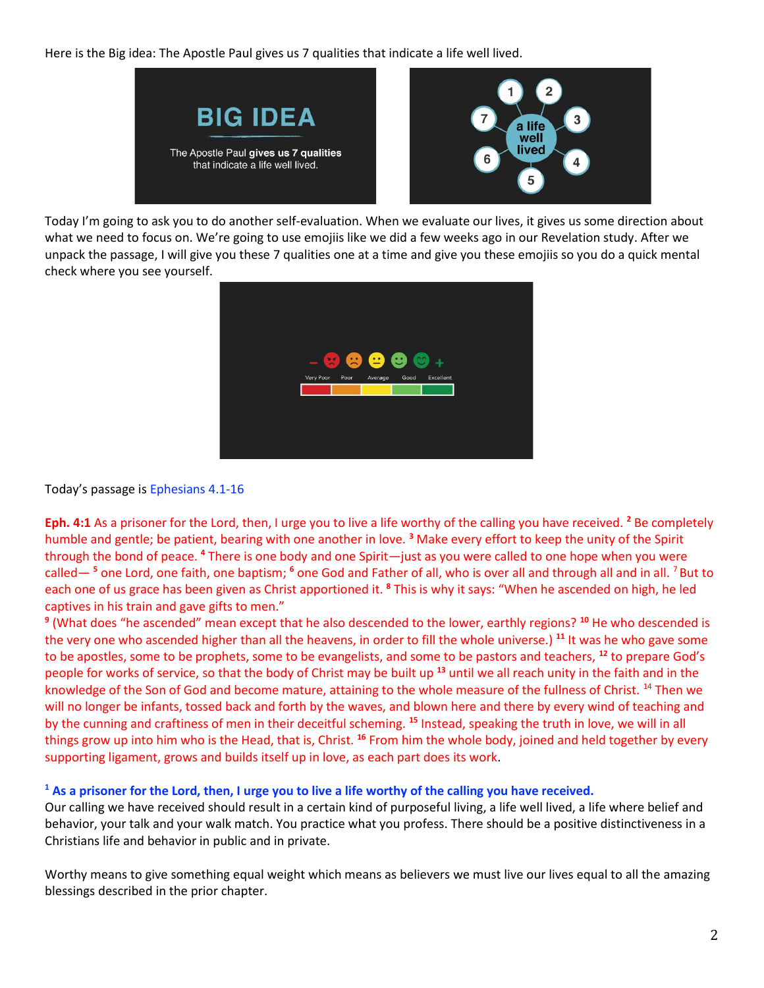Here is the Big idea: The Apostle Paul gives us 7 qualities that indicate a life well lived.



Today I'm going to ask you to do another self-evaluation. When we evaluate our lives, it gives us some direction about what we need to focus on. We're going to use emojiis like we did a few weeks ago in our Revelation study. After we unpack the passage, I will give you these 7 qualities one at a time and give you these emojiis so you do a quick mental check where you see yourself.



Today's passage is Ephesians 4.1-16

**Eph. 4:1** As a prisoner for the Lord, then, I urge you to live a life worthy of the calling you have received. **<sup>2</sup>** Be completely humble and gentle; be patient, bearing with one another in love. **<sup>3</sup>** Make every effort to keep the unity of the Spirit through the bond of peace. **<sup>4</sup>** There is one body and one Spirit—just as you were called to one hope when you were called— **<sup>5</sup>** one Lord, one faith, one baptism; **<sup>6</sup>** one God and Father of all, who is over all and through all and in all. <sup>7</sup>But to each one of us grace has been given as Christ apportioned it. **<sup>8</sup>** This is why it says: "When he ascended on high, he led captives in his train and gave gifts to men."

**9** (What does "he ascended" mean except that he also descended to the lower, earthly regions? **<sup>10</sup>** He who descended is the very one who ascended higher than all the heavens, in order to fill the whole universe.) **<sup>11</sup>** It was he who gave some to be apostles, some to be prophets, some to be evangelists, and some to be pastors and teachers, **<sup>12</sup>** to prepare God's people for works of service, so that the body of Christ may be built up **<sup>13</sup>** until we all reach unity in the faith and in the knowledge of the Son of God and become mature, attaining to the whole measure of the fullness of Christ. <sup>14</sup> Then we will no longer be infants, tossed back and forth by the waves, and blown here and there by every wind of teaching and by the cunning and craftiness of men in their deceitful scheming. **<sup>15</sup>** Instead, speaking the truth in love, we will in all things grow up into him who is the Head, that is, Christ. **<sup>16</sup>** From him the whole body, joined and held together by every supporting ligament, grows and builds itself up in love, as each part does its work.

#### **<sup>1</sup> As a prisoner for the Lord, then, I urge you to live a life worthy of the calling you have received.**

Our calling we have received should result in a certain kind of purposeful living, a life well lived, a life where belief and behavior, your talk and your walk match. You practice what you profess. There should be a positive distinctiveness in a Christians life and behavior in public and in private.

Worthy means to give something equal weight which means as believers we must live our lives equal to all the amazing blessings described in the prior chapter.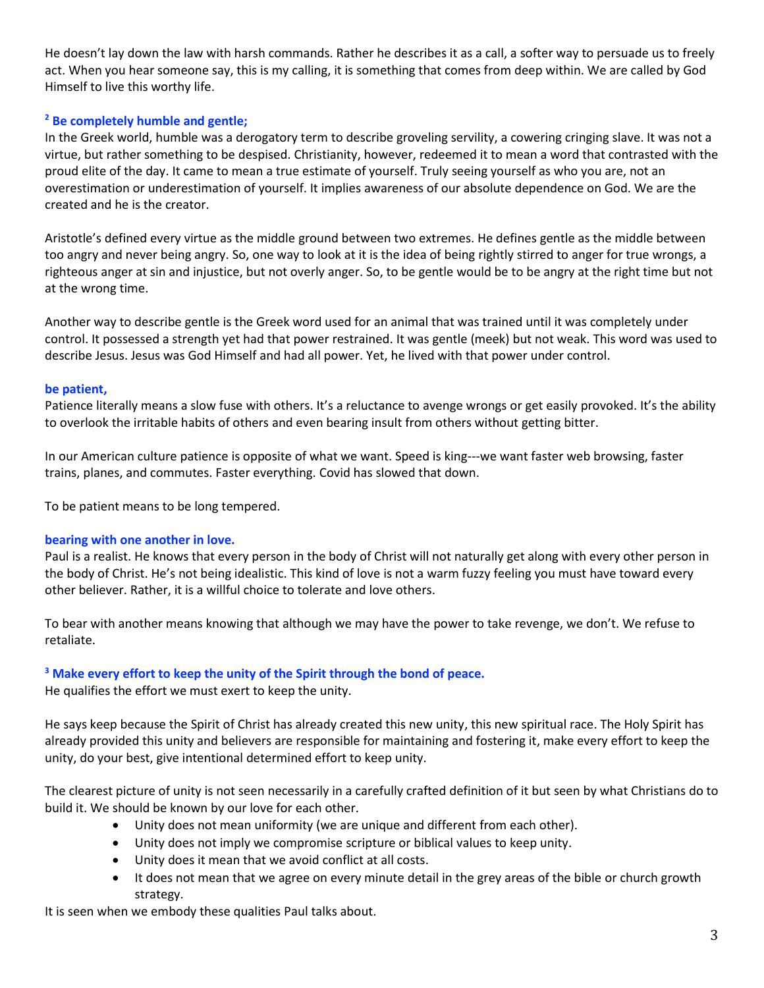He doesn't lay down the law with harsh commands. Rather he describes it as a call, a softer way to persuade us to freely act. When you hear someone say, this is my calling, it is something that comes from deep within. We are called by God Himself to live this worthy life.

### **<sup>2</sup> Be completely humble and gentle;**

In the Greek world, humble was a derogatory term to describe groveling servility, a cowering cringing slave. It was not a virtue, but rather something to be despised. Christianity, however, redeemed it to mean a word that contrasted with the proud elite of the day. It came to mean a true estimate of yourself. Truly seeing yourself as who you are, not an overestimation or underestimation of yourself. It implies awareness of our absolute dependence on God. We are the created and he is the creator.

Aristotle's defined every virtue as the middle ground between two extremes. He defines gentle as the middle between too angry and never being angry. So, one way to look at it is the idea of being rightly stirred to anger for true wrongs, a righteous anger at sin and injustice, but not overly anger. So, to be gentle would be to be angry at the right time but not at the wrong time.

Another way to describe gentle is the Greek word used for an animal that was trained until it was completely under control. It possessed a strength yet had that power restrained. It was gentle (meek) but not weak. This word was used to describe Jesus. Jesus was God Himself and had all power. Yet, he lived with that power under control.

#### **be patient,**

Patience literally means a slow fuse with others. It's a reluctance to avenge wrongs or get easily provoked. It's the ability to overlook the irritable habits of others and even bearing insult from others without getting bitter.

In our American culture patience is opposite of what we want. Speed is king---we want faster web browsing, faster trains, planes, and commutes. Faster everything. Covid has slowed that down.

To be patient means to be long tempered.

#### **bearing with one another in love.**

Paul is a realist. He knows that every person in the body of Christ will not naturally get along with every other person in the body of Christ. He's not being idealistic. This kind of love is not a warm fuzzy feeling you must have toward every other believer. Rather, it is a willful choice to tolerate and love others.

To bear with another means knowing that although we may have the power to take revenge, we don't. We refuse to retaliate.

# **<sup>3</sup> Make every effort to keep the unity of the Spirit through the bond of peace.**

He qualifies the effort we must exert to keep the unity.

He says keep because the Spirit of Christ has already created this new unity, this new spiritual race. The Holy Spirit has already provided this unity and believers are responsible for maintaining and fostering it, make every effort to keep the unity, do your best, give intentional determined effort to keep unity.

The clearest picture of unity is not seen necessarily in a carefully crafted definition of it but seen by what Christians do to build it. We should be known by our love for each other.

- Unity does not mean uniformity (we are unique and different from each other).
- Unity does not imply we compromise scripture or biblical values to keep unity.
- Unity does it mean that we avoid conflict at all costs.
- It does not mean that we agree on every minute detail in the grey areas of the bible or church growth strategy.

It is seen when we embody these qualities Paul talks about.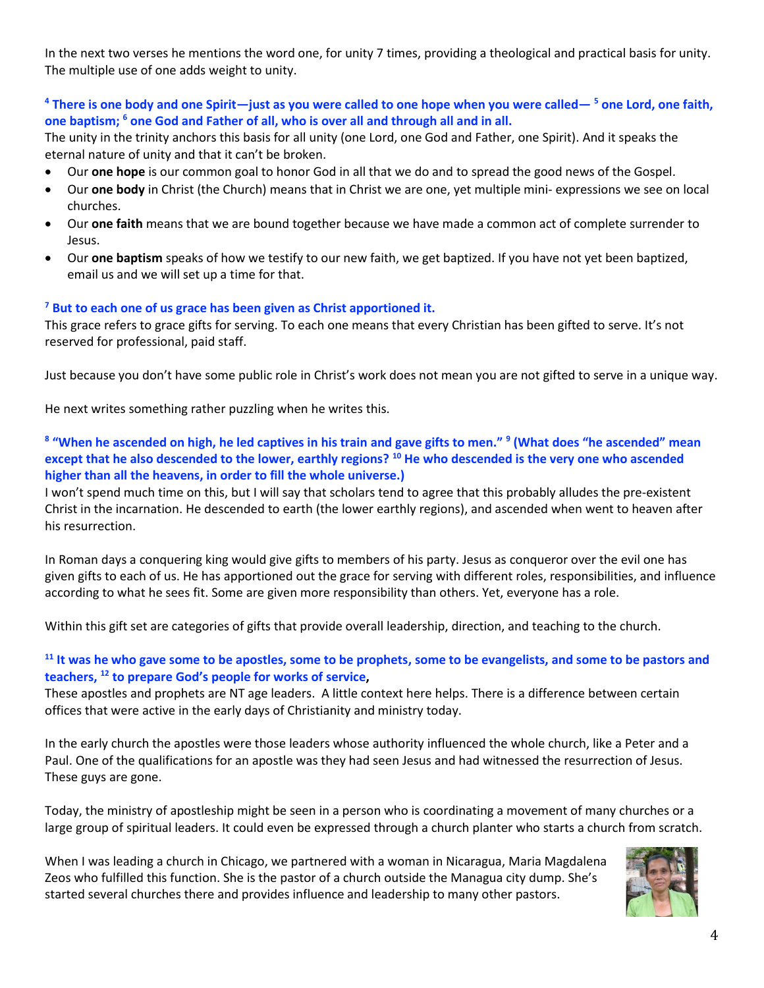In the next two verses he mentions the word one, for unity 7 times, providing a theological and practical basis for unity. The multiple use of one adds weight to unity.

# **<sup>4</sup> There is one body and one Spirit—just as you were called to one hope when you were called— <sup>5</sup> one Lord, one faith, one baptism; <sup>6</sup> one God and Father of all, who is over all and through all and in all.**

The unity in the trinity anchors this basis for all unity (one Lord, one God and Father, one Spirit). And it speaks the eternal nature of unity and that it can't be broken.

- Our **one hope** is our common goal to honor God in all that we do and to spread the good news of the Gospel.
- Our **one body** in Christ (the Church) means that in Christ we are one, yet multiple mini- expressions we see on local churches.
- Our **one faith** means that we are bound together because we have made a common act of complete surrender to Jesus.
- Our **one baptism** speaks of how we testify to our new faith, we get baptized. If you have not yet been baptized, email us and we will set up a time for that.

# **<sup>7</sup> But to each one of us grace has been given as Christ apportioned it.**

This grace refers to grace gifts for serving. To each one means that every Christian has been gifted to serve. It's not reserved for professional, paid staff.

Just because you don't have some public role in Christ's work does not mean you are not gifted to serve in a unique way.

He next writes something rather puzzling when he writes this.

### **8 "When he ascended on high, he led captives in his train and gave gifts to men." <sup>9</sup> (What does "he ascended" mean except that he also descended to the lower, earthly regions? <sup>10</sup> He who descended is the very one who ascended higher than all the heavens, in order to fill the whole universe.)**

I won't spend much time on this, but I will say that scholars tend to agree that this probably alludes the pre-existent Christ in the incarnation. He descended to earth (the lower earthly regions), and ascended when went to heaven after his resurrection.

In Roman days a conquering king would give gifts to members of his party. Jesus as conqueror over the evil one has given gifts to each of us. He has apportioned out the grace for serving with different roles, responsibilities, and influence according to what he sees fit. Some are given more responsibility than others. Yet, everyone has a role.

Within this gift set are categories of gifts that provide overall leadership, direction, and teaching to the church.

# **<sup>11</sup> It was he who gave some to be apostles, some to be prophets, some to be evangelists, and some to be pastors and teachers, <sup>12</sup> to prepare God's people for works of service,**

These apostles and prophets are NT age leaders. A little context here helps. There is a difference between certain offices that were active in the early days of Christianity and ministry today.

In the early church the apostles were those leaders whose authority influenced the whole church, like a Peter and a Paul. One of the qualifications for an apostle was they had seen Jesus and had witnessed the resurrection of Jesus. These guys are gone.

Today, the ministry of apostleship might be seen in a person who is coordinating a movement of many churches or a large group of spiritual leaders. It could even be expressed through a church planter who starts a church from scratch.

When I was leading a church in Chicago, we partnered with a woman in Nicaragua, Maria Magdalena Zeos who fulfilled this function. She is the pastor of a church outside the Managua city dump. She's started several churches there and provides influence and leadership to many other pastors.

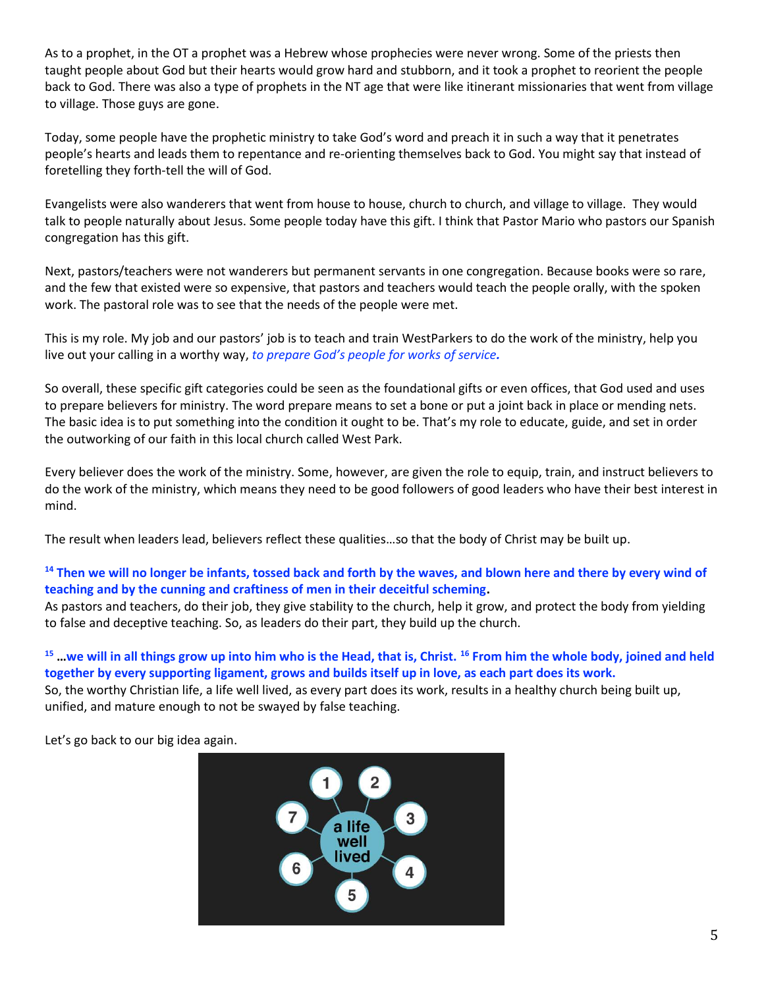As to a prophet, in the OT a prophet was a Hebrew whose prophecies were never wrong. Some of the priests then taught people about God but their hearts would grow hard and stubborn, and it took a prophet to reorient the people back to God. There was also a type of prophets in the NT age that were like itinerant missionaries that went from village to village. Those guys are gone.

Today, some people have the prophetic ministry to take God's word and preach it in such a way that it penetrates people's hearts and leads them to repentance and re-orienting themselves back to God. You might say that instead of foretelling they forth-tell the will of God.

Evangelists were also wanderers that went from house to house, church to church, and village to village. They would talk to people naturally about Jesus. Some people today have this gift. I think that Pastor Mario who pastors our Spanish congregation has this gift.

Next, pastors/teachers were not wanderers but permanent servants in one congregation. Because books were so rare, and the few that existed were so expensive, that pastors and teachers would teach the people orally, with the spoken work. The pastoral role was to see that the needs of the people were met.

This is my role. My job and our pastors' job is to teach and train WestParkers to do the work of the ministry, help you live out your calling in a worthy way, *to prepare God's people for works of service.*

So overall, these specific gift categories could be seen as the foundational gifts or even offices, that God used and uses to prepare believers for ministry. The word prepare means to set a bone or put a joint back in place or mending nets. The basic idea is to put something into the condition it ought to be. That's my role to educate, guide, and set in order the outworking of our faith in this local church called West Park.

Every believer does the work of the ministry. Some, however, are given the role to equip, train, and instruct believers to do the work of the ministry, which means they need to be good followers of good leaders who have their best interest in mind.

The result when leaders lead, believers reflect these qualities…so that the body of Christ may be built up.

# **<sup>14</sup> Then we will no longer be infants, tossed back and forth by the waves, and blown here and there by every wind of teaching and by the cunning and craftiness of men in their deceitful scheming.**

As pastors and teachers, do their job, they give stability to the church, help it grow, and protect the body from yielding to false and deceptive teaching. So, as leaders do their part, they build up the church.

# **<sup>15</sup> …we will in all things grow up into him who is the Head, that is, Christ. <sup>16</sup> From him the whole body, joined and held together by every supporting ligament, grows and builds itself up in love, as each part does its work.**

So, the worthy Christian life, a life well lived, as every part does its work, results in a healthy church being built up, unified, and mature enough to not be swayed by false teaching.

Let's go back to our big idea again.

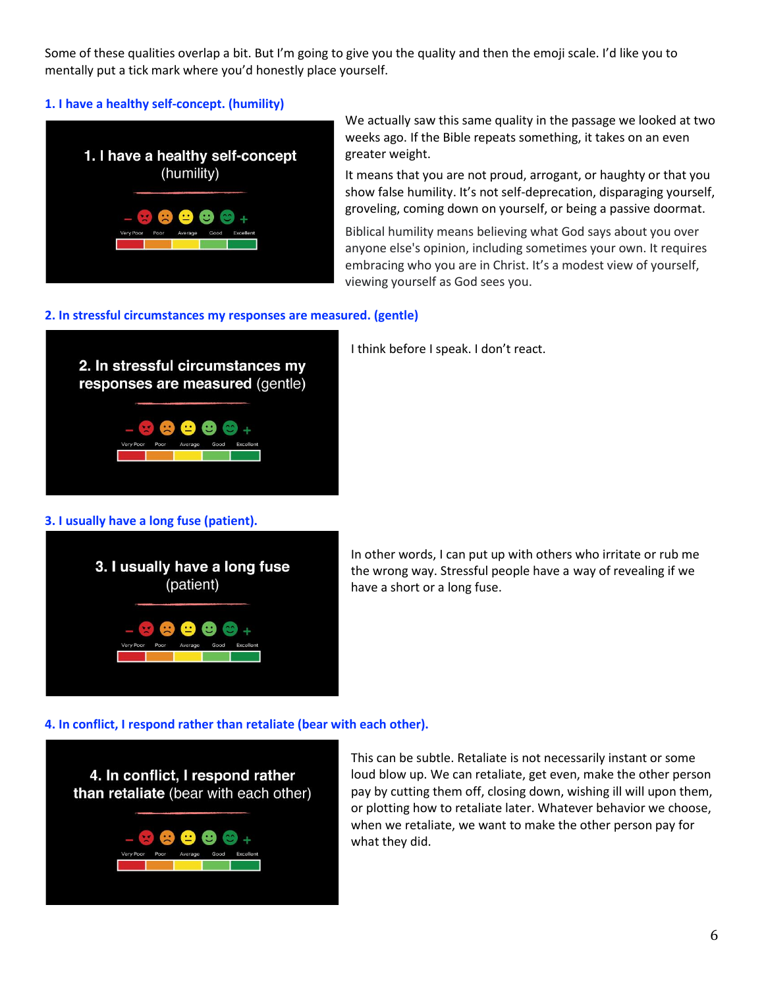Some of these qualities overlap a bit. But I'm going to give you the quality and then the emoji scale. I'd like you to mentally put a tick mark where you'd honestly place yourself.

### **1. I have a healthy self-concept. (humility)**

![](_page_5_Picture_2.jpeg)

We actually saw this same quality in the passage we looked at two weeks ago. If the Bible repeats something, it takes on an even greater weight.

It means that you are not proud, arrogant, or haughty or that you show false humility. It's not self-deprecation, disparaging yourself, groveling, coming down on yourself, or being a passive doormat.

Biblical humility means believing what God says about you over anyone else's opinion, including sometimes your own. It requires embracing who you are in Christ. It's a modest view of yourself, viewing yourself as God sees you.

#### **2. In stressful circumstances my responses are measured. (gentle)**

![](_page_5_Picture_7.jpeg)

I think before I speak. I don't react.

#### **3. I usually have a long fuse (patient).**

![](_page_5_Picture_10.jpeg)

In other words, I can put up with others who irritate or rub me the wrong way. Stressful people have a way of revealing if we have a short or a long fuse.

#### **4. In conflict, I respond rather than retaliate (bear with each other).**

![](_page_5_Picture_13.jpeg)

This can be subtle. Retaliate is not necessarily instant or some loud blow up. We can retaliate, get even, make the other person pay by cutting them off, closing down, wishing ill will upon them, or plotting how to retaliate later. Whatever behavior we choose, when we retaliate, we want to make the other person pay for what they did.